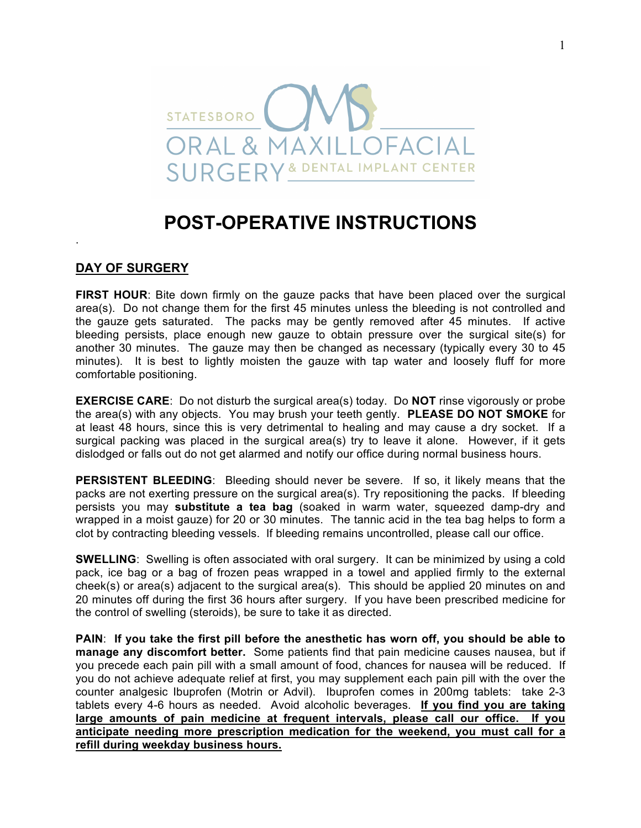# **STATESBORO AXILLOFACIA** ORAI & **SURGERY & DENTAL IMPLANT CENTER**

## **POST-OPERATIVE INSTRUCTIONS**

#### **DAY OF SURGERY**

.

**FIRST HOUR**: Bite down firmly on the gauze packs that have been placed over the surgical area(s). Do not change them for the first 45 minutes unless the bleeding is not controlled and the gauze gets saturated. The packs may be gently removed after 45 minutes. If active bleeding persists, place enough new gauze to obtain pressure over the surgical site(s) for another 30 minutes. The gauze may then be changed as necessary (typically every 30 to 45 minutes). It is best to lightly moisten the gauze with tap water and loosely fluff for more comfortable positioning.

**EXERCISE CARE**: Do not disturb the surgical area(s) today. Do **NOT** rinse vigorously or probe the area(s) with any objects. You may brush your teeth gently. **PLEASE DO NOT SMOKE** for at least 48 hours, since this is very detrimental to healing and may cause a dry socket. If a surgical packing was placed in the surgical area(s) try to leave it alone. However, if it gets dislodged or falls out do not get alarmed and notify our office during normal business hours.

**PERSISTENT BLEEDING**: Bleeding should never be severe. If so, it likely means that the packs are not exerting pressure on the surgical area(s). Try repositioning the packs. If bleeding persists you may **substitute a tea bag** (soaked in warm water, squeezed damp-dry and wrapped in a moist gauze) for 20 or 30 minutes. The tannic acid in the tea bag helps to form a clot by contracting bleeding vessels. If bleeding remains uncontrolled, please call our office.

**SWELLING**: Swelling is often associated with oral surgery. It can be minimized by using a cold pack, ice bag or a bag of frozen peas wrapped in a towel and applied firmly to the external cheek(s) or area(s) adjacent to the surgical area(s). This should be applied 20 minutes on and 20 minutes off during the first 36 hours after surgery. If you have been prescribed medicine for the control of swelling (steroids), be sure to take it as directed.

**PAIN**: **If you take the first pill before the anesthetic has worn off, you should be able to manage any discomfort better.** Some patients find that pain medicine causes nausea, but if you precede each pain pill with a small amount of food, chances for nausea will be reduced. If you do not achieve adequate relief at first, you may supplement each pain pill with the over the counter analgesic Ibuprofen (Motrin or Advil). Ibuprofen comes in 200mg tablets: take 2-3 tablets every 4-6 hours as needed. Avoid alcoholic beverages. **If you find you are taking large amounts of pain medicine at frequent intervals, please call our office. If you anticipate needing more prescription medication for the weekend, you must call for a refill during weekday business hours.**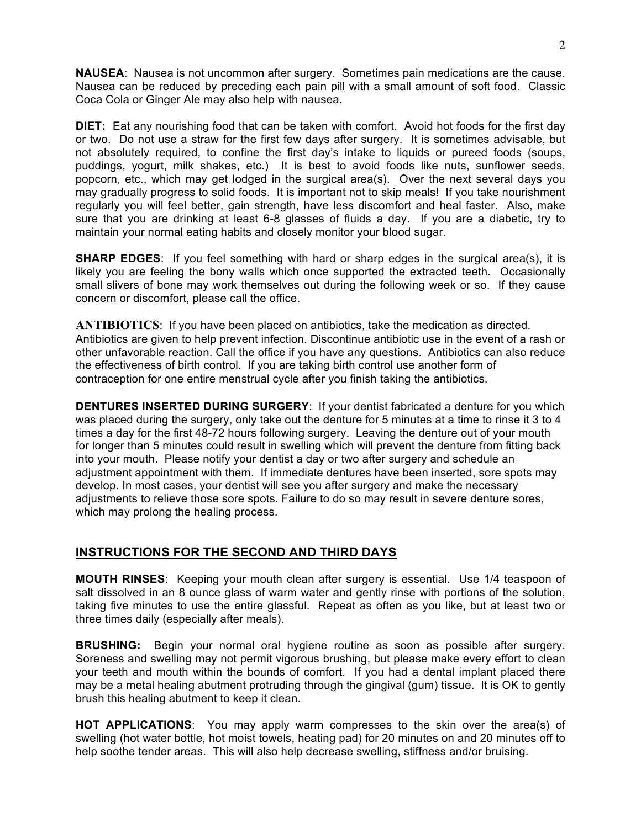**NAUSEA**: Nausea is not uncommon after surgery. Sometimes pain medications are the cause. Nausea can be reduced by preceding each pain pill with a small amount of soft food. Classic Coca Cola or Ginger Ale may also help with nausea.

**DIET:** Eat any nourishing food that can be taken with comfort. Avoid hot foods for the first day or two. Do not use a straw for the first few days after surgery. It is sometimes advisable, but not absolutely required, to confine the first day's intake to liquids or pureed foods (soups, puddings, yogurt, milk shakes, etc.) It is best to avoid foods like nuts, sunflower seeds, popcorn, etc., which may get lodged in the surgical area(s). Over the next several days you may gradually progress to solid foods. It is important not to skip meals! If you take nourishment regularly you will feel better, gain strength, have less discomfort and heal faster. Also, make sure that you are drinking at least 6-8 glasses of fluids a day. If you are a diabetic, try to maintain your normal eating habits and closely monitor your blood sugar.

**SHARP EDGES:** If you feel something with hard or sharp edges in the surgical area(s), it is likely you are feeling the bony walls which once supported the extracted teeth. Occasionally small slivers of bone may work themselves out during the following week or so. If they cause concern or discomfort, please call the office.

**ANTIBIOTICS**: If you have been placed on antibiotics, take the medication as directed. Antibiotics are given to help prevent infection. Discontinue antibiotic use in the event of a rash or other unfavorable reaction. Call the office if you have any questions. Antibiotics can also reduce the effectiveness of birth control. If you are taking birth control use another form of contraception for one entire menstrual cycle after you finish taking the antibiotics.

**DENTURES INSERTED DURING SURGERY**: If your dentist fabricated a denture for you which was placed during the surgery, only take out the denture for 5 minutes at a time to rinse it 3 to 4 times a day for the first 48-72 hours following surgery. Leaving the denture out of your mouth for longer than 5 minutes could result in swelling which will prevent the denture from fitting back into your mouth. Please notify your dentist a day or two after surgery and schedule an adjustment appointment with them. If immediate dentures have been inserted, sore spots may develop. In most cases, your dentist will see you after surgery and make the necessary adjustments to relieve those sore spots. Failure to do so may result in severe denture sores, which may prolong the healing process.

### **INSTRUCTIONS FOR THE SECOND AND THIRD DAYS**

**MOUTH RINSES**: Keeping your mouth clean after surgery is essential. Use 1/4 teaspoon of salt dissolved in an 8 ounce glass of warm water and gently rinse with portions of the solution, taking five minutes to use the entire glassful. Repeat as often as you like, but at least two or three times daily (especially after meals).

**BRUSHING:** Begin your normal oral hygiene routine as soon as possible after surgery. Soreness and swelling may not permit vigorous brushing, but please make every effort to clean your teeth and mouth within the bounds of comfort. If you had a dental implant placed there may be a metal healing abutment protruding through the gingival (gum) tissue. It is OK to gently brush this healing abutment to keep it clean.

**HOT APPLICATIONS**: You may apply warm compresses to the skin over the area(s) of swelling (hot water bottle, hot moist towels, heating pad) for 20 minutes on and 20 minutes off to help soothe tender areas. This will also help decrease swelling, stiffness and/or bruising.